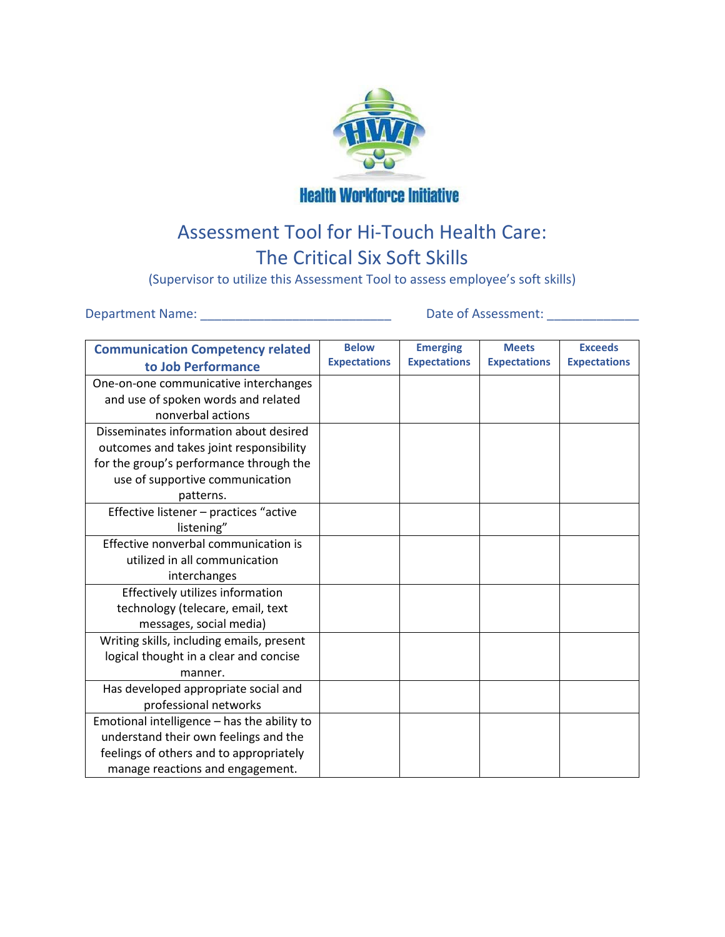

**Health Workforce Initiative** 

## Assessment Tool for Hi-Touch Health Care: The Critical Six Soft Skills

(Supervisor to utilize this Assessment Tool to assess employee's soft skills)

Department Name: \_\_\_\_\_\_\_\_\_\_\_\_\_\_\_\_\_\_\_\_\_\_\_\_\_\_\_ Date of Assessment: \_\_\_\_\_\_\_\_\_\_\_\_\_

| <b>Communication Competency related</b>     | <b>Below</b>        | <b>Emerging</b>     | <b>Meets</b>        | <b>Exceeds</b>      |
|---------------------------------------------|---------------------|---------------------|---------------------|---------------------|
| to Job Performance                          | <b>Expectations</b> | <b>Expectations</b> | <b>Expectations</b> | <b>Expectations</b> |
| One-on-one communicative interchanges       |                     |                     |                     |                     |
| and use of spoken words and related         |                     |                     |                     |                     |
| nonverbal actions                           |                     |                     |                     |                     |
| Disseminates information about desired      |                     |                     |                     |                     |
| outcomes and takes joint responsibility     |                     |                     |                     |                     |
| for the group's performance through the     |                     |                     |                     |                     |
| use of supportive communication             |                     |                     |                     |                     |
| patterns.                                   |                     |                     |                     |                     |
| Effective listener - practices "active      |                     |                     |                     |                     |
| listening"                                  |                     |                     |                     |                     |
| Effective nonverbal communication is        |                     |                     |                     |                     |
| utilized in all communication               |                     |                     |                     |                     |
| interchanges                                |                     |                     |                     |                     |
| Effectively utilizes information            |                     |                     |                     |                     |
| technology (telecare, email, text           |                     |                     |                     |                     |
| messages, social media)                     |                     |                     |                     |                     |
| Writing skills, including emails, present   |                     |                     |                     |                     |
| logical thought in a clear and concise      |                     |                     |                     |                     |
| manner.                                     |                     |                     |                     |                     |
| Has developed appropriate social and        |                     |                     |                     |                     |
| professional networks                       |                     |                     |                     |                     |
| Emotional intelligence - has the ability to |                     |                     |                     |                     |
| understand their own feelings and the       |                     |                     |                     |                     |
| feelings of others and to appropriately     |                     |                     |                     |                     |
| manage reactions and engagement.            |                     |                     |                     |                     |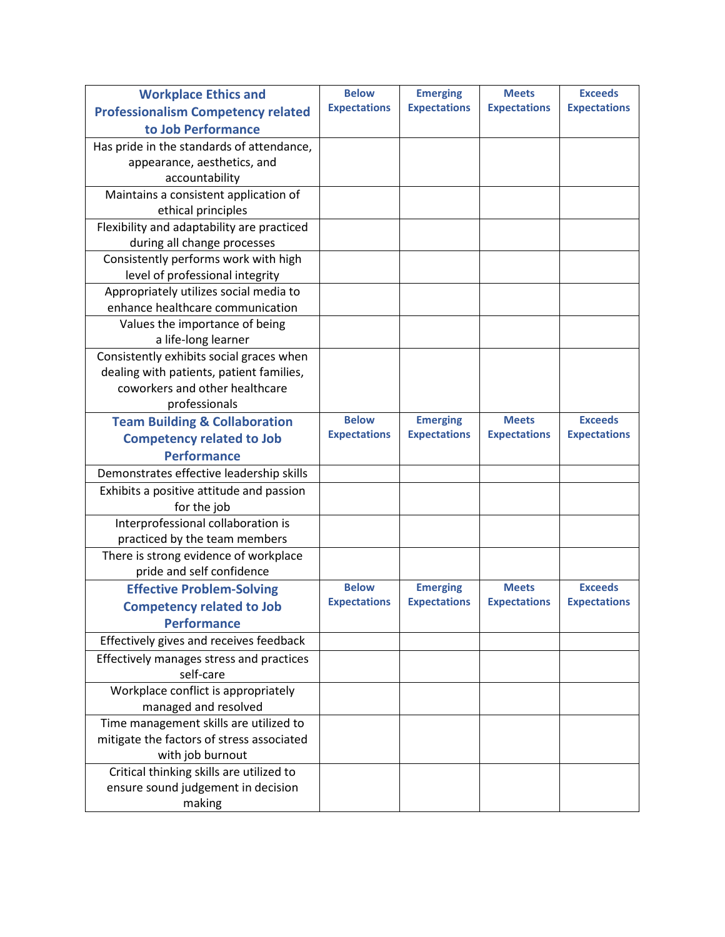| <b>Workplace Ethics and</b>                | <b>Below</b>        | <b>Emerging</b>     | <b>Meets</b>        | <b>Exceeds</b>      |
|--------------------------------------------|---------------------|---------------------|---------------------|---------------------|
| <b>Professionalism Competency related</b>  | <b>Expectations</b> | <b>Expectations</b> | <b>Expectations</b> | <b>Expectations</b> |
| to Job Performance                         |                     |                     |                     |                     |
| Has pride in the standards of attendance,  |                     |                     |                     |                     |
| appearance, aesthetics, and                |                     |                     |                     |                     |
| accountability                             |                     |                     |                     |                     |
| Maintains a consistent application of      |                     |                     |                     |                     |
| ethical principles                         |                     |                     |                     |                     |
| Flexibility and adaptability are practiced |                     |                     |                     |                     |
| during all change processes                |                     |                     |                     |                     |
| Consistently performs work with high       |                     |                     |                     |                     |
| level of professional integrity            |                     |                     |                     |                     |
| Appropriately utilizes social media to     |                     |                     |                     |                     |
| enhance healthcare communication           |                     |                     |                     |                     |
| Values the importance of being             |                     |                     |                     |                     |
| a life-long learner                        |                     |                     |                     |                     |
| Consistently exhibits social graces when   |                     |                     |                     |                     |
| dealing with patients, patient families,   |                     |                     |                     |                     |
| coworkers and other healthcare             |                     |                     |                     |                     |
| professionals                              |                     |                     |                     |                     |
| <b>Team Building &amp; Collaboration</b>   | <b>Below</b>        | <b>Emerging</b>     | <b>Meets</b>        | <b>Exceeds</b>      |
| <b>Competency related to Job</b>           | <b>Expectations</b> | <b>Expectations</b> | <b>Expectations</b> | <b>Expectations</b> |
| <b>Performance</b>                         |                     |                     |                     |                     |
| Demonstrates effective leadership skills   |                     |                     |                     |                     |
| Exhibits a positive attitude and passion   |                     |                     |                     |                     |
| for the job                                |                     |                     |                     |                     |
| Interprofessional collaboration is         |                     |                     |                     |                     |
| practiced by the team members              |                     |                     |                     |                     |
| There is strong evidence of workplace      |                     |                     |                     |                     |
| pride and self confidence                  |                     |                     |                     |                     |
| <b>Effective Problem-Solving</b>           | <b>Below</b>        | <b>Emerging</b>     | <b>Meets</b>        | <b>Exceeds</b>      |
| <b>Competency related to Job</b>           | <b>Expectations</b> | <b>Expectations</b> | <b>Expectations</b> | <b>Expectations</b> |
| <b>Performance</b>                         |                     |                     |                     |                     |
| Effectively gives and receives feedback    |                     |                     |                     |                     |
| Effectively manages stress and practices   |                     |                     |                     |                     |
| self-care                                  |                     |                     |                     |                     |
| Workplace conflict is appropriately        |                     |                     |                     |                     |
| managed and resolved                       |                     |                     |                     |                     |
| Time management skills are utilized to     |                     |                     |                     |                     |
| mitigate the factors of stress associated  |                     |                     |                     |                     |
| with job burnout                           |                     |                     |                     |                     |
| Critical thinking skills are utilized to   |                     |                     |                     |                     |
| ensure sound judgement in decision         |                     |                     |                     |                     |
| making                                     |                     |                     |                     |                     |